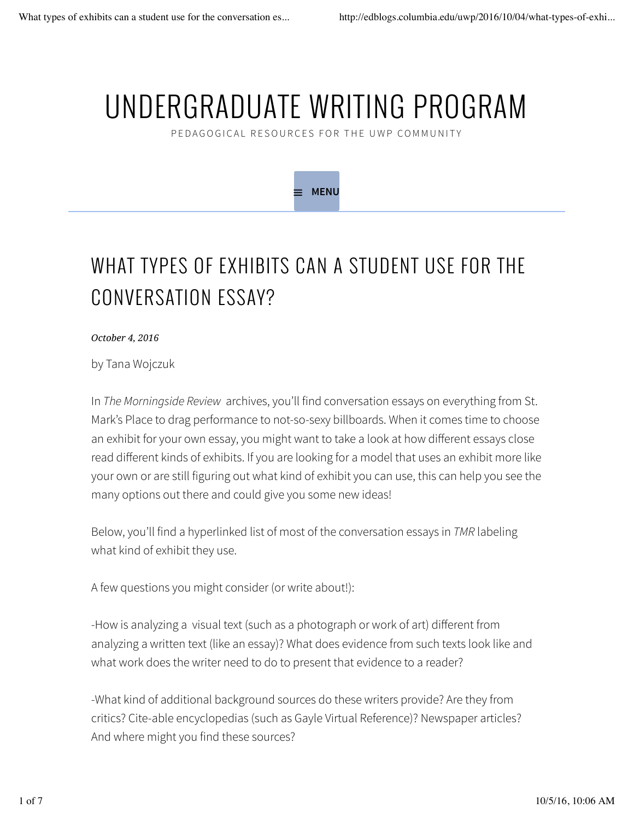# UNDERGRADUATE WRITING PROGRAM

PEDAGOGICAL RESOURCES FOR THE UWP COMMUNITY

**MENU**



*October 4, 2016*

by Tana Wojczuk

In *The Morningside Review* archives, you'll find conversation essays on everything from St. Mark's Place to drag performance to not-so-sexy billboards. When it comes time to choose an exhibit for your own essay, you might want to take a look at how different essays close read different kinds of exhibits. If you are looking for a model that uses an exhibit more like your own or are still figuring out what kind of exhibit you can use, this can help you see the many options out there and could give you some new ideas!

Below, you'll find a hyperlinked list of most of the conversation essays in *TMR* labeling what kind of exhibit they use.

A few questions you might consider (or write about!):

-How is analyzing a visual text (such as a photograph or work of art) different from analyzing a written text (like an essay)? What does evidence from such texts look like and what work does the writer need to do to present that evidence to a reader?

-What kind of additional background sources do these writers provide? Are they from critics? Cite-able encyclopedias (such as Gayle Virtual Reference)? Newspaper articles? And where might you find these sources?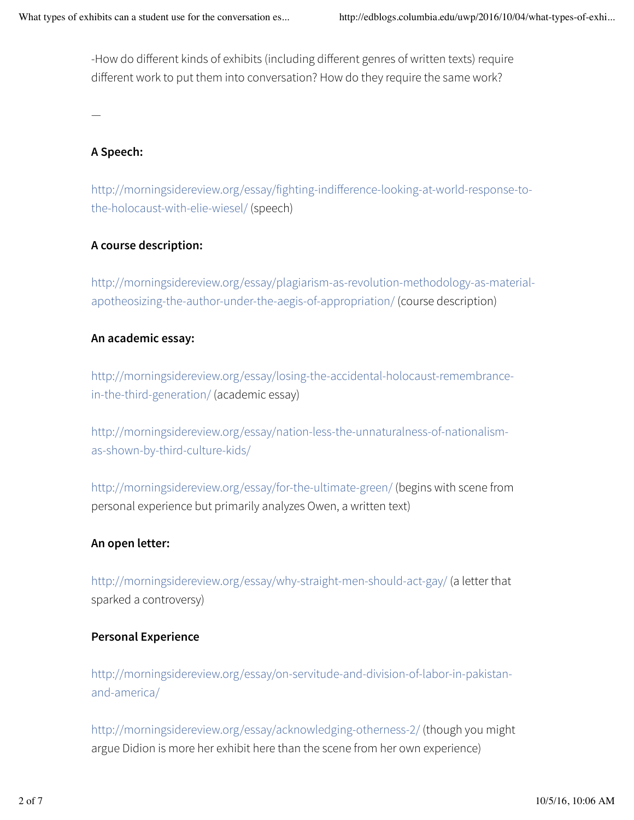-How do different kinds of exhibits (including different genres of written texts) require different work to put them into conversation? How do they require the same work?

—

# **A Speech:**

http://morningsidereview.org/essay/fighting-indifference-looking-at-world-response-tothe-holocaust-with-elie-wiesel/ (speech)

# **A course description:**

http://morningsidereview.org/essay/plagiarism-as-revolution-methodology-as-materialapotheosizing-the-author-under-the-aegis-of-appropriation/ (course description)

# **An academic essay:**

http://morningsidereview.org/essay/losing-the-accidental-holocaust-remembrancein-the-third-generation/ (academic essay)

http://morningsidereview.org/essay/nation-less-the-unnaturalness-of-nationalismas-shown-by-third-culture-kids/

http://morningsidereview.org/essay/for-the-ultimate-green/ (begins with scene from personal experience but primarily analyzes Owen, a written text)

# **An open letter:**

http://morningsidereview.org/essay/why-straight-men-should-act-gay/ (a letter that sparked a controversy)

#### **Personal Experience**

http://morningsidereview.org/essay/on-servitude-and-division-of-labor-in-pakistanand-america/

http://morningsidereview.org/essay/acknowledging-otherness-2/ (though you might argue Didion is more her exhibit here than the scene from her own experience)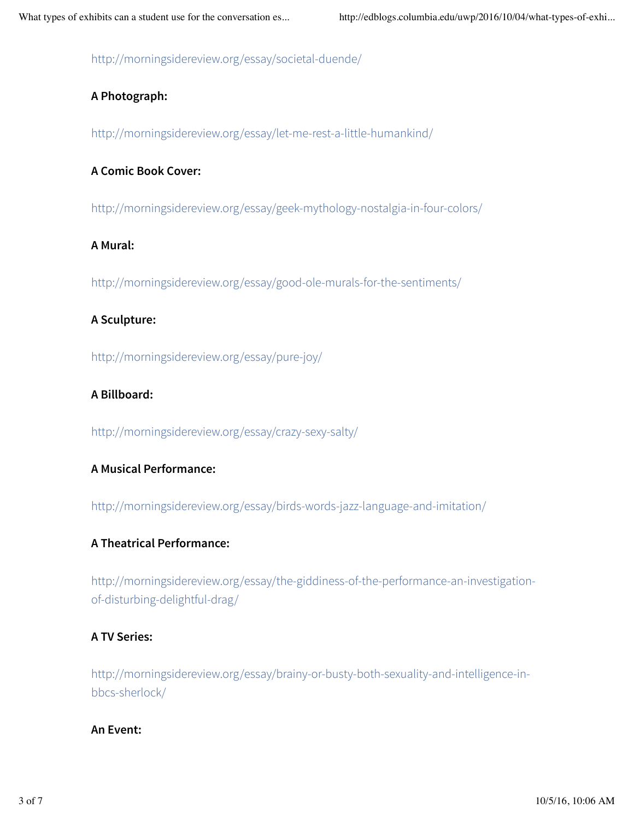http://morningsidereview.org/essay/societal-duende/

# **A Photograph:**

http://morningsidereview.org/essay/let-me-rest-a-little-humankind/

# **A Comic Book Cover:**

http://morningsidereview.org/essay/geek-mythology-nostalgia-in-four-colors/

# **A Mural:**

http://morningsidereview.org/essay/good-ole-murals-for-the-sentiments/

# **A Sculpture:**

http://morningsidereview.org/essay/pure-joy/

# **A Billboard:**

http://morningsidereview.org/essay/crazy-sexy-salty/

# **A Musical Performance:**

http://morningsidereview.org/essay/birds-words-jazz-language-and-imitation/

# **A Theatrical Performance:**

http://morningsidereview.org/essay/the-giddiness-of-the-performance-an-investigationof-disturbing-delightful-drag/

# **A TV Series:**

http://morningsidereview.org/essay/brainy-or-busty-both-sexuality-and-intelligence-inbbcs-sherlock/

#### **An Event:**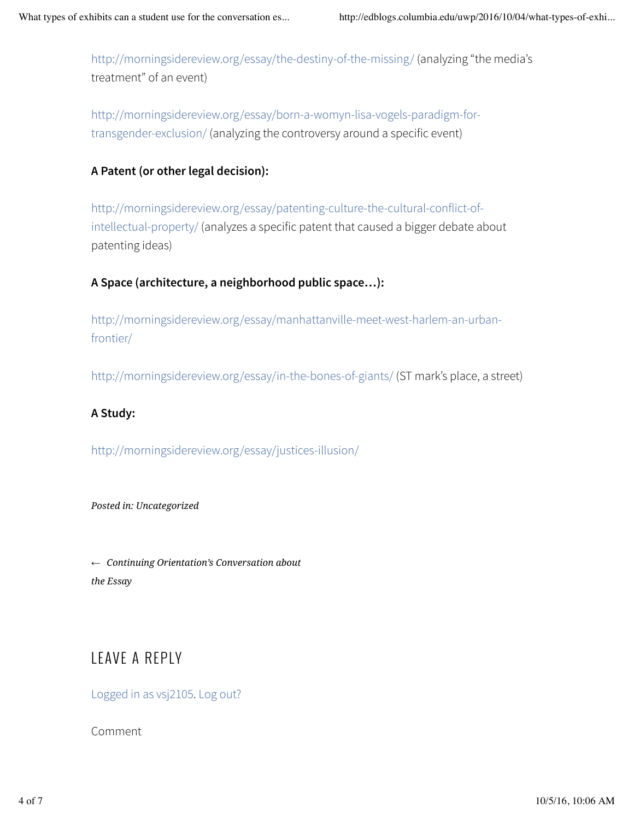http://morningsidereview.org/essay/the-destiny-of-the-missing/ (analyzing "the media's treatment" of an event)

http://morningsidereview.org/essay/born-a-womyn-lisa-vogels-paradigm-fortransgender-exclusion/ (analyzing the controversy around a specific event)

# **A Patent (or other legal decision):**

http://morningsidereview.org/essay/patenting-culture-the-cultural-conflict-ofintellectual-property/ (analyzes a specific patent that caused a bigger debate about patenting ideas)

# **A Space (architecture, a neighborhood public space…):**

http://morningsidereview.org/essay/manhattanville-meet-west-harlem-an-urbanfrontier/

http://morningsidereview.org/essay/in-the-bones-of-giants/ (ST mark's place, a street)

# **A Study:**

http://morningsidereview.org/essay/justices-illusion/

*Posted in: Uncategorized*

*← Continuing Orientation's Conversation about the Essay*

# LEAVE A REPLY

Logged in as vsj2105. Log out?

Comment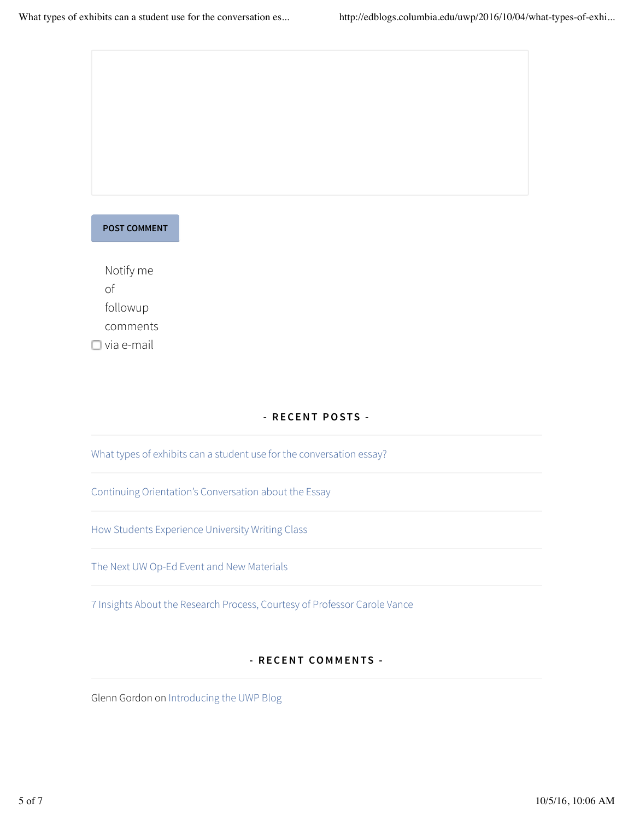

Notify me of followup comments  $\Box$  via e-mail

#### **- RECENT POSTS -**

What types of exhibits can a student use for the conversation essay?

Continuing Orientation's Conversation about the Essay

How Students Experience University Writing Class

The Next UW Op-Ed Event and New Materials

7 Insights About the Research Process, Courtesy of Professor Carole Vance

#### **- RECENT COMMENTS -**

Glenn Gordon on Introducing the UWP Blog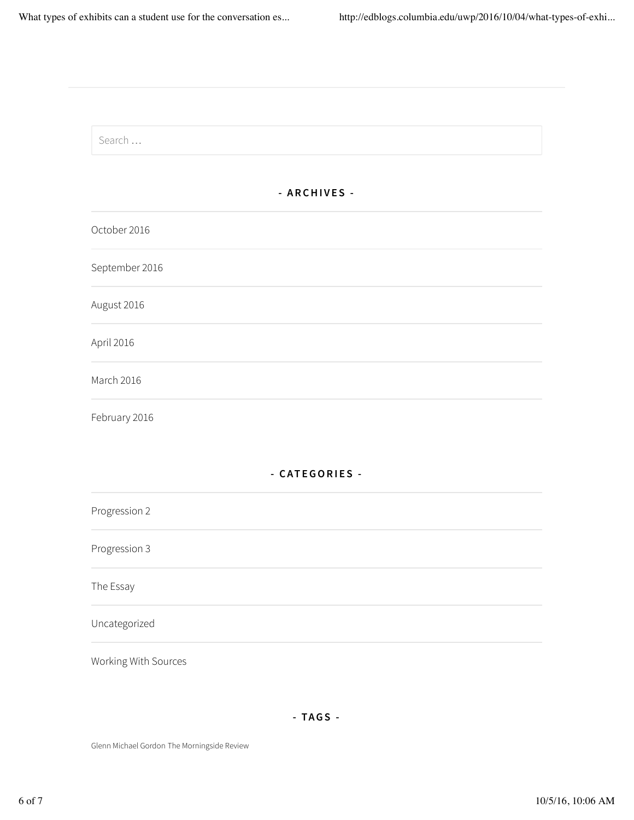| Search         |                |  |
|----------------|----------------|--|
|                | - ARCHIVES -   |  |
| October 2016   |                |  |
| September 2016 |                |  |
| August 2016    |                |  |
| April 2016     |                |  |
| March 2016     |                |  |
| February 2016  |                |  |
|                | - CATEGORIES - |  |
| Progression 2  |                |  |
| Progression 3  |                |  |
| The Essay      |                |  |
| Uncategorized  |                |  |

Glenn Michael Gordon The Morningside Review